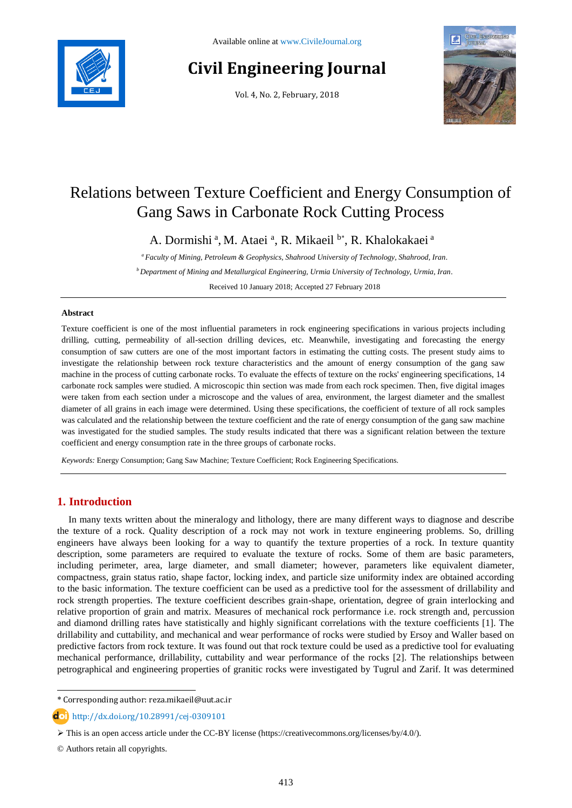

# **Civil Engineering Journal**

Vol. 4, No. 2, February, 2018



## Relations between Texture Coefficient and Energy Consumption of Gang Saws in Carbonate Rock Cutting Process

A. Dormishi <sup>a</sup>, M. Ataei <sup>a</sup>, R. Mikaeil <sup>b\*</sup>, R. Khalokakaei <sup>a</sup>

*<sup>a</sup> Faculty of Mining, Petroleum & Geophysics, Shahrood University of Technology, Shahrood, Iran. <sup>b</sup> Department of Mining and Metallurgical Engineering, Urmia University of Technology, Urmia, Iran.*

Received 10 January 2018; Accepted 27 February 2018

#### **Abstract**

Texture coefficient is one of the most influential parameters in rock engineering specifications in various projects including drilling, cutting, permeability of all-section drilling devices, etc. Meanwhile, investigating and forecasting the energy consumption of saw cutters are one of the most important factors in estimating the cutting costs. The present study aims to investigate the relationship between rock texture characteristics and the amount of energy consumption of the gang saw machine in the process of cutting carbonate rocks. To evaluate the effects of texture on the rocks' engineering specifications, 14 carbonate rock samples were studied. A microscopic thin section was made from each rock specimen. Then, five digital images were taken from each section under a microscope and the values of area, environment, the largest diameter and the smallest diameter of all grains in each image were determined. Using these specifications, the coefficient of texture of all rock samples was calculated and the relationship between the texture coefficient and the rate of energy consumption of the gang saw machine was investigated for the studied samples. The study results indicated that there was a significant relation between the texture coefficient and energy consumption rate in the three groups of carbonate rocks.

*Keywords:* Energy Consumption; Gang Saw Machine; Texture Coefficient; Rock Engineering Specifications.

### **1. Introduction**

In many texts written about the mineralogy and lithology, there are many different ways to diagnose and describe the texture of a rock. Quality description of a rock may not work in texture engineering problems. So, drilling engineers have always been looking for a way to quantify the texture properties of a rock. In texture quantity description, some parameters are required to evaluate the texture of rocks. Some of them are basic parameters, including perimeter, area, large diameter, and small diameter; however, parameters like equivalent diameter, compactness, grain status ratio, shape factor, locking index, and particle size uniformity index are obtained according to the basic information. The texture coefficient can be used as a predictive tool for the assessment of drillability and rock strength properties. The texture coefficient describes grain-shape, orientation, degree of grain interlocking and relative proportion of grain and matrix. Measures of mechanical rock performance i.e. rock strength and, percussion and diamond drilling rates have statistically and highly significant correlations with the texture coefficients [1]. The drillability and cuttability, and mechanical and wear performance of rocks were studied by Ersoy and Waller based on predictive factors from rock texture. It was found out that rock texture could be used as a predictive tool for evaluating mechanical performance, drillability, cuttability and wear performance of the rocks [2]. The relationships between petrographical and engineering properties of granitic rocks were investigated by Tugrul and Zarif. It was determined

\* Corresponding author: reza.mikaeil@uut.ac.ir

<http://dx.doi.org/10.28991/cej-0309101>

© Authors retain all copyrights.

l

This is an open access article under the CC-BY license [\(https://creativecommons.org/licenses/by/4.0/\)](https://creativecommons.org/licenses/by/4.0/).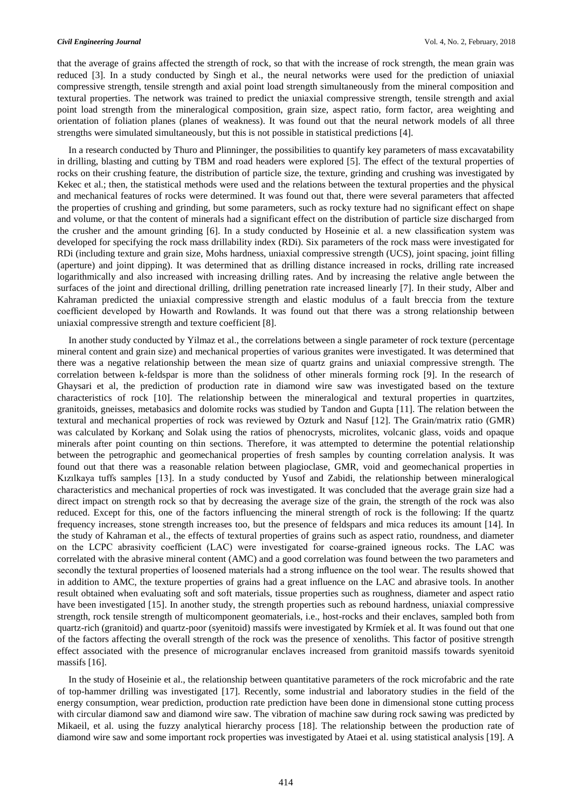that the average of grains affected the strength of rock, so that with the increase of rock strength, the mean grain was reduced [3]. In a study conducted by Singh et al., the neural networks were used for the prediction of uniaxial compressive strength, tensile strength and axial point load strength simultaneously from the mineral composition and textural properties. The network was trained to predict the uniaxial compressive strength, tensile strength and axial point load strength from the mineralogical composition, grain size, aspect ratio, form factor, area weighting and orientation of foliation planes (planes of weakness). It was found out that the neural network models of all three strengths were simulated simultaneously, but this is not possible in statistical predictions [4].

In a research conducted by Thuro and Plinninger, the possibilities to quantify key parameters of mass excavatability in drilling, blasting and cutting by TBM and road headers were explored [5]. The effect of the textural properties of rocks on their crushing feature, the distribution of particle size, the texture, grinding and crushing was investigated by Kekec et al.; then, the statistical methods were used and the relations between the textural properties and the physical and mechanical features of rocks were determined. It was found out that, there were several parameters that affected the properties of crushing and grinding, but some parameters, such as rocky texture had no significant effect on shape and volume, or that the content of minerals had a significant effect on the distribution of particle size discharged from the crusher and the amount grinding [6]. In a study conducted by Hoseinie et al. a new classification system was developed for specifying the rock mass drillability index (RDi). Six parameters of the rock mass were investigated for RDi (including texture and grain size, Mohs hardness, uniaxial compressive strength (UCS), joint spacing, joint filling (aperture) and joint dipping). It was determined that as drilling distance increased in rocks, drilling rate increased logarithmically and also increased with increasing drilling rates. And by increasing the relative angle between the surfaces of the joint and directional drilling, drilling penetration rate increased linearly [7]. In their study, Alber and Kahraman predicted the uniaxial compressive strength and elastic modulus of a fault breccia from the texture coefficient developed by Howarth and Rowlands. It was found out that there was a strong relationship between uniaxial compressive strength and texture coefficient [8].

In another study conducted by Yilmaz et al., the correlations between a single parameter of rock texture (percentage mineral content and grain size) and mechanical properties of various granites were investigated. It was determined that there was a negative relationship between the mean size of quartz grains and uniaxial compressive strength. The correlation between k-feldspar is more than the solidness of other minerals forming rock [9]. In the research of Ghaysari et al, the prediction of production rate in diamond wire saw was investigated based on the texture characteristics of rock [10]. The relationship between the mineralogical and textural properties in quartzites, granitoids, gneisses, metabasics and dolomite rocks was studied by Tandon and Gupta [11]. The relation between the textural and mechanical properties of rock was reviewed by Ozturk and Nasuf [12]. The Grain/matrix ratio (GMR) was calculated by Korkanç and Solak using the ratios of phenocrysts, microlites, volcanic glass, voids and opaque minerals after point counting on thin sections. Therefore, it was attempted to determine the potential relationship between the petrographic and geomechanical properties of fresh samples by counting correlation analysis. It was found out that there was a reasonable relation between plagioclase, GMR, void and geomechanical properties in Kızılkaya tuffs samples [13]. In a study conducted by Yusof and Zabidi, the relationship between mineralogical characteristics and mechanical properties of rock was investigated. It was concluded that the average grain size had a direct impact on strength rock so that by decreasing the average size of the grain, the strength of the rock was also reduced. Except for this, one of the factors influencing the mineral strength of rock is the following: If the quartz frequency increases, stone strength increases too, but the presence of feldspars and mica reduces its amount [14]. In the study of Kahraman et al., the effects of textural properties of grains such as aspect ratio, roundness, and diameter on the LCPC abrasivity coefficient (LAC) were investigated for coarse-grained igneous rocks. The LAC was correlated with the abrasive mineral content (AMC) and a good correlation was found between the two parameters and secondly the textural properties of loosened materials had a strong influence on the tool wear. The results showed that in addition to AMC, the texture properties of grains had a great influence on the LAC and abrasive tools. In another result obtained when evaluating soft and soft materials, tissue properties such as roughness, diameter and aspect ratio have been investigated [15]. In another study, the strength properties such as rebound hardness, uniaxial compressive strength, rock tensile strength of multicomponent geomaterials, i.e., host-rocks and their enclaves, sampled both from quartz-rich (granitoid) and quartz-poor (syenitoid) massifs were investigated by Krmíek et al. It was found out that one of the factors affecting the overall strength of the rock was the presence of xenoliths. This factor of positive strength effect associated with the presence of microgranular enclaves increased from granitoid massifs towards syenitoid massifs [16].

In the study of Hoseinie et al., the relationship between quantitative parameters of the rock microfabric and the rate of top-hammer drilling was investigated [17]. Recently, some industrial and laboratory studies in the field of the energy consumption, wear prediction, production rate prediction have been done in dimensional stone cutting process with circular diamond saw and diamond wire saw. The vibration of machine saw during rock sawing was predicted by Mikaeil, et al. using the fuzzy analytical hierarchy process [18]. The relationship between the production rate of diamond wire saw and some important rock properties was investigated by Ataei et al. using statistical analysis [19]. A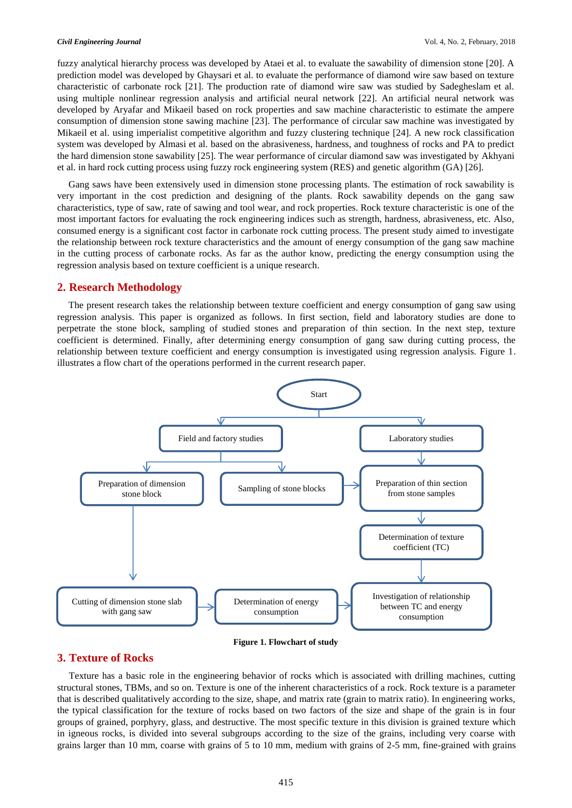fuzzy analytical hierarchy process was developed by Ataei et al. to evaluate the sawability of dimension stone [20]. A prediction model was developed by Ghaysari et al. to evaluate the performance of diamond wire saw based on texture characteristic of carbonate rock [21]. The production rate of diamond wire saw was studied by Sadegheslam et al. using multiple nonlinear regression analysis and artificial neural network [22]. An artificial neural network was developed by Aryafar and Mikaeil based on rock properties and saw machine characteristic to estimate the ampere consumption of dimension stone sawing machine [23]. The performance of circular saw machine was investigated by Mikaeil et al. using imperialist competitive algorithm and fuzzy clustering technique [24]. A new rock classification system was developed by Almasi et al. based on the abrasiveness, hardness, and toughness of rocks and PA to predict the hard dimension stone sawability [25]. The wear performance of circular diamond saw was investigated by Akhyani et al. in hard rock cutting process using fuzzy rock engineering system (RES) and genetic algorithm (GA) [26].

Gang saws have been extensively used in dimension stone processing plants. The estimation of rock sawability is very important in the cost prediction and designing of the plants. Rock sawability depends on the gang saw characteristics, type of saw, rate of sawing and tool wear, and rock properties. Rock texture characteristic is one of the most important factors for evaluating the rock engineering indices such as strength, hardness, abrasiveness, etc. Also, consumed energy is a significant cost factor in carbonate rock cutting process. The present study aimed to investigate the relationship between rock texture characteristics and the amount of energy consumption of the gang saw machine in the cutting process of carbonate rocks. As far as the author know, predicting the energy consumption using the regression analysis based on texture coefficient is a unique research.

#### **2. Research Methodology**

The present research takes the relationship between texture coefficient and energy consumption of gang saw using regression analysis. This paper is organized as follows. In first section, field and laboratory studies are done to perpetrate the stone block, sampling of studied stones and preparation of thin section. In the next step, texture coefficient is determined. Finally, after determining energy consumption of gang saw during cutting process, the relationship between texture coefficient and energy consumption is investigated using regression analysis. Figure 1. illustrates a flow chart of the operations performed in the current research paper.



**Figure 1. Flowchart of study**

#### **3. Texture of Rocks**

Texture has a basic role in the engineering behavior of rocks which is associated with drilling machines, cutting structural stones, TBMs, and so on. Texture is one of the inherent characteristics of a rock. Rock texture is a parameter that is described qualitatively according to the size, shape, and matrix rate (grain to matrix ratio). In engineering works, the typical classification for the texture of rocks based on two factors of the size and shape of the grain is in four groups of grained, porphyry, glass, and destructive. The most specific texture in this division is grained texture which in igneous rocks, is divided into several subgroups according to the size of the grains, including very coarse with grains larger than 10 mm, coarse with grains of 5 to 10 mm, medium with grains of 2-5 mm, fine-grained with grains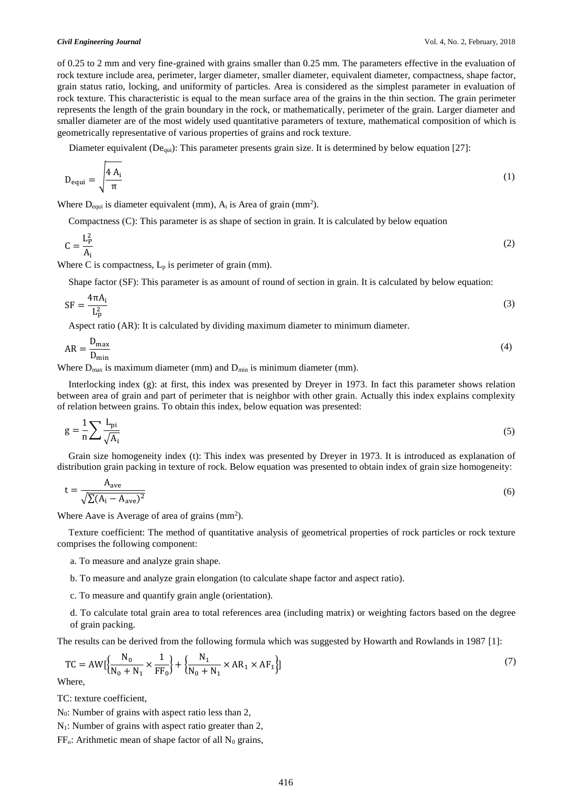of 0.25 to 2 mm and very fine-grained with grains smaller than 0.25 mm. The parameters effective in the evaluation of rock texture include area, perimeter, larger diameter, smaller diameter, equivalent diameter, compactness, shape factor, grain status ratio, locking, and uniformity of particles. Area is considered as the simplest parameter in evaluation of rock texture. This characteristic is equal to the mean surface area of the grains in the thin section. The grain perimeter represents the length of the grain boundary in the rock, or mathematically, perimeter of the grain. Larger diameter and smaller diameter are of the most widely used quantitative parameters of texture, mathematical composition of which is geometrically representative of various properties of grains and rock texture.

Diameter equivalent ( $De<sub>qui</sub>$ ): This parameter presents grain size. It is determined by below equation [27]:

$$
D_{\text{equi}} = \sqrt{\frac{4 A_i}{\pi}} \tag{1}
$$

Where  $D_{equi}$  is diameter equivalent (mm),  $A_i$  is Area of grain (mm<sup>2</sup>).

Compactness (C): This parameter is as shape of section in grain. It is calculated by below equation

$$
C = \frac{L_P^2}{A_i} \tag{2}
$$

Where C is compactness,  $L_p$  is perimeter of grain (mm).

Shape factor (SF): This parameter is as amount of round of section in grain. It is calculated by below equation:

$$
SF = \frac{4\pi A_i}{L_p^2}
$$
 (3)

Aspect ratio (AR): It is calculated by dividing maximum diameter to minimum diameter.

$$
AR = \frac{D_{\text{max}}}{D_{\text{min}}} \tag{4}
$$

Where  $D_{\text{max}}$  is maximum diameter (mm) and  $D_{\text{min}}$  is minimum diameter (mm).

Interlocking index (g): at first, this index was presented by Dreyer in 1973. In fact this parameter shows relation between area of grain and part of perimeter that is neighbor with other grain. Actually this index explains complexity of relation between grains. To obtain this index, below equation was presented:

$$
g = \frac{1}{n} \sum \frac{L_{\rm pi}}{\sqrt{A_i}}\tag{5}
$$

Grain size homogeneity index (t): This index was presented by Dreyer in 1973. It is introduced as explanation of distribution grain packing in texture of rock. Below equation was presented to obtain index of grain size homogeneity:

$$
t = \frac{A_{ave}}{\sqrt{\sum (A_i - A_{ave})^2}}
$$
(6)

Where Aave is Average of area of grains  $(mm^2)$ .

Texture coefficient: The method of quantitative analysis of geometrical properties of rock particles or rock texture comprises the following component:

a. To measure and analyze grain shape.

- b. To measure and analyze grain elongation (to calculate shape factor and aspect ratio).
- c. To measure and quantify grain angle (orientation).

d. To calculate total grain area to total references area (including matrix) or weighting factors based on the degree of grain packing.

The results can be derived from the following formula which was suggested by Howarth and Rowlands in 1987 [1]:

$$
TC = AW \left[ \frac{N_0}{N_0 + N_1} \times \frac{1}{FF_0} \right] + \left\{ \frac{N_1}{N_0 + N_1} \times AR_1 \times AF_1 \right\} \right]
$$
\n<sup>(7)</sup>

Where,

TC: texture coefficient,

N0: Number of grains with aspect ratio less than 2,

 $N_1$ : Number of grains with aspect ratio greater than 2,

 $FF<sub>o</sub>$ : Arithmetic mean of shape factor of all N<sub>0</sub> grains,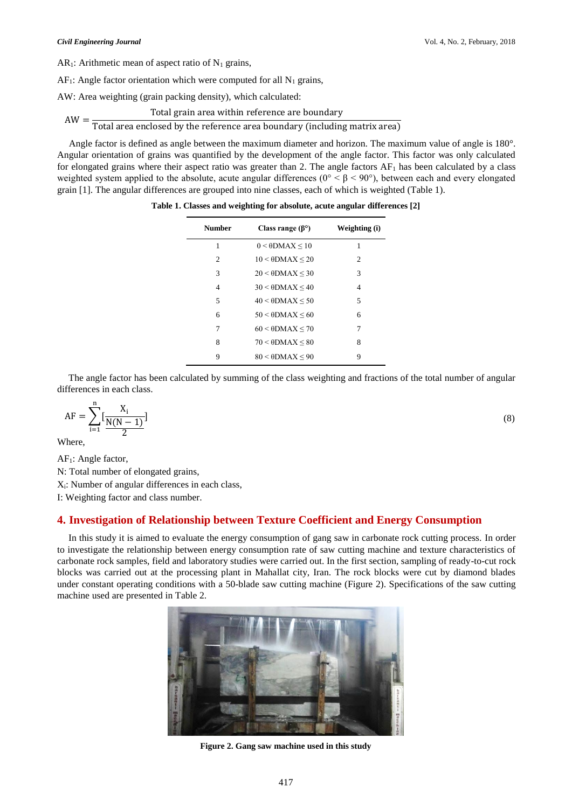$AR<sub>1</sub>$ : Arithmetic mean of aspect ratio of N<sub>1</sub> grains,

 $AF_1$ : Angle factor orientation which were computed for all  $N_1$  grains,

AW: Area weighting (grain packing density), which calculated:

$$
AW = \frac{\text{Total grain area within reference are boundary}}{\text{Total area enclosed by the reference area boundary (including matrix area)}
$$

Angle factor is defined as angle between the maximum diameter and horizon. The maximum value of angle is 180°. Angular orientation of grains was quantified by the development of the angle factor. This factor was only calculated for elongated grains where their aspect ratio was greater than 2. The angle factors  $AF<sub>1</sub>$  has been calculated by a class weighted system applied to the absolute, acute angular differences ( $0^{\circ} < \beta < 90^{\circ}$ ), between each and every elongated grain [1]. The angular differences are grouped into nine classes, each of which is weighted (Table 1).

| <b>Number</b>  | Class range $(\beta^{\circ})$ | Weighting (i) |  |  |
|----------------|-------------------------------|---------------|--|--|
| 1              | $0 < \theta$ DMAX $\leq 10$   | 1             |  |  |
| 2              | $10 < \theta$ DMAX $\leq 20$  | 2             |  |  |
| 3              | $20 < \theta$ DMAX < 30       | 3             |  |  |
| $\overline{4}$ | $30 < \theta$ DMAX $\leq 40$  | 4             |  |  |
| 5              | $40 < \theta$ DMAX $\leq 50$  | 5             |  |  |
| 6              | $50 < \theta$ DMAX $\leq 60$  | 6             |  |  |
| 7              | $60 < \theta$ DMAX $\leq 70$  | 7             |  |  |
| 8              | $70 < \theta$ DMAX $\leq 80$  | 8             |  |  |
| 9              | $80 < \theta$ DMAX < 90       | 9             |  |  |

**Table 1. Classes and weighting for absolute, acute angular differences [2]**

The angle factor has been calculated by summing of the class weighting and fractions of the total number of angular differences in each class.

$$
AF = \sum_{i=1}^{n} \left[ \frac{X_i}{N(N-1)} \right] \tag{8}
$$

Where,

AF1: Angle factor,

N: Total number of elongated grains,

Xi: Number of angular differences in each class,

I: Weighting factor and class number.

### **4. Investigation of Relationship between Texture Coefficient and Energy Consumption**

In this study it is aimed to evaluate the energy consumption of gang saw in carbonate rock cutting process. In order to investigate the relationship between energy consumption rate of saw cutting machine and texture characteristics of carbonate rock samples, field and laboratory studies were carried out. In the first section, sampling of ready-to-cut rock blocks was carried out at the processing plant in Mahallat city, Iran. The rock blocks were cut by diamond blades under constant operating conditions with a 50-blade saw cutting machine (Figure 2). Specifications of the saw cutting machine used are presented in Table 2.



**Figure 2. Gang saw machine used in this study**

417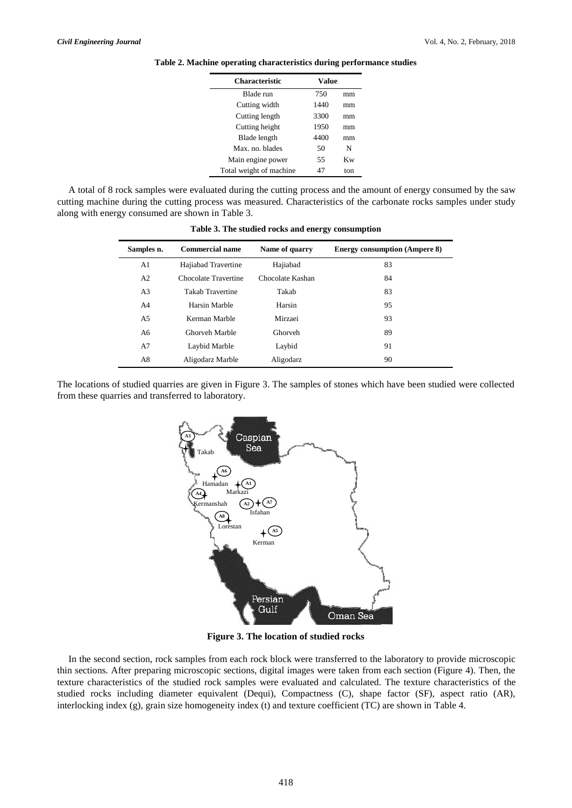| <b>Characteristic</b>   | Value |     |
|-------------------------|-------|-----|
| Blade run               | 750   | mm  |
| Cutting width           | 1440  | mm  |
| Cutting length          | 3300  | mm  |
| Cutting height          | 1950  | mm  |
| Blade length            | 4400  | mm  |
| Max. no. blades         | 50    | N   |
| Main engine power       | 55    | Kw  |
| Total weight of machine | 47    | ton |

**Table 2. Machine operating characteristics during performance studies**

A total of 8 rock samples were evaluated during the cutting process and the amount of energy consumed by the saw cutting machine during the cutting process was measured. Characteristics of the carbonate rocks samples under study along with energy consumed are shown in Table 3.

| Samples n.     | <b>Commercial name</b>  | Name of quarry   | <b>Energy consumption (Ampere 8)</b> |  |
|----------------|-------------------------|------------------|--------------------------------------|--|
| A1             | Hajiabad Travertine     | Hajiabad         | 83                                   |  |
| A <sub>2</sub> | Chocolate Travertine    | Chocolate Kashan | 84                                   |  |
| A3             | <b>Takab Travertine</b> | Takab            | 83                                   |  |
| A4             | Harsin Marble           | Harsin           | 95                                   |  |
| A <sub>5</sub> | Kerman Marble           | Mirzaei          | 93                                   |  |
| A6             | Ghorveh Marble          | Ghorveh          | 89                                   |  |
| A7             | Laybid Marble           | Laybid           | 91                                   |  |
| A8             | Aligodarz Marble        | Aligodarz        | 90                                   |  |

**Table 3. The studied rocks and energy consumption**

The locations of studied quarries are given in Figure 3. The samples of stones which have been studied were collected from these quarries and transferred to laboratory.



**Figure 3. The location of studied rocks**

In the second section, rock samples from each rock block were transferred to the laboratory to provide microscopic thin sections. After preparing microscopic sections, digital images were taken from each section (Figure 4). Then, the texture characteristics of the studied rock samples were evaluated and calculated. The texture characteristics of the studied rocks including diameter equivalent (Dequi), Compactness (C), shape factor (SF), aspect ratio (AR), interlocking index (g), grain size homogeneity index (t) and texture coefficient (TC) are shown in Table 4.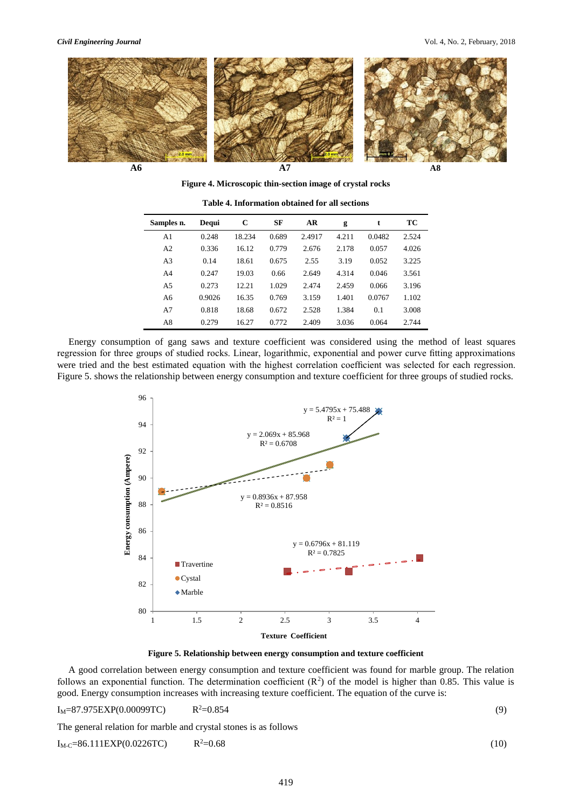

**Figure 4. Microscopic thin-section image of crystal rocks**

| Dequi  | C      | <b>SF</b> | AR     | g     | t      | TC    |
|--------|--------|-----------|--------|-------|--------|-------|
| 0.248  | 18.234 | 0.689     | 2.4917 | 4.211 | 0.0482 | 2.524 |
| 0.336  | 16.12  | 0.779     | 2.676  | 2.178 | 0.057  | 4.026 |
| 0.14   | 18.61  | 0.675     | 2.55   | 3.19  | 0.052  | 3.225 |
| 0.247  | 19.03  | 0.66      | 2.649  | 4.314 | 0.046  | 3.561 |
| 0.273  | 12.21  | 1.029     | 2.474  | 2.459 | 0.066  | 3.196 |
| 0.9026 | 16.35  | 0.769     | 3.159  | 1.401 | 0.0767 | 1.102 |
| 0.818  | 18.68  | 0.672     | 2.528  | 1.384 | 0.1    | 3.008 |
| 0.279  | 16.27  | 0.772     | 2.409  | 3.036 | 0.064  | 2.744 |
|        |        |           |        |       |        |       |

**Table 4. Information obtained for all sections**

Energy consumption of gang saws and texture coefficient was considered using the method of least squares regression for three groups of studied rocks. Linear, logarithmic, exponential and power curve fitting approximations were tried and the best estimated equation with the highest correlation coefficient was selected for each regression. Figure 5. shows the relationship between energy consumption and texture coefficient for three groups of studied rocks.



**Figure 5. Relationship between energy consumption and texture coefficient**

A good correlation between energy consumption and texture coefficient was found for marble group. The relation follows an exponential function. The determination coefficient  $(R^2)$  of the model is higher than 0.85. This value is good. Energy consumption increases with increasing texture coefficient. The equation of the curve is:

 $I_M = 87.975$ EXP(0.00099TC)  $R^2 = 0.854$  $2=0.854$  (9)

The general relation for marble and crystal stones is as follows

$$
I_{\text{M-C}} = 86.111 \text{EXP}(0.0226 \text{TC}) \qquad R^2 = 0.68 \tag{10}
$$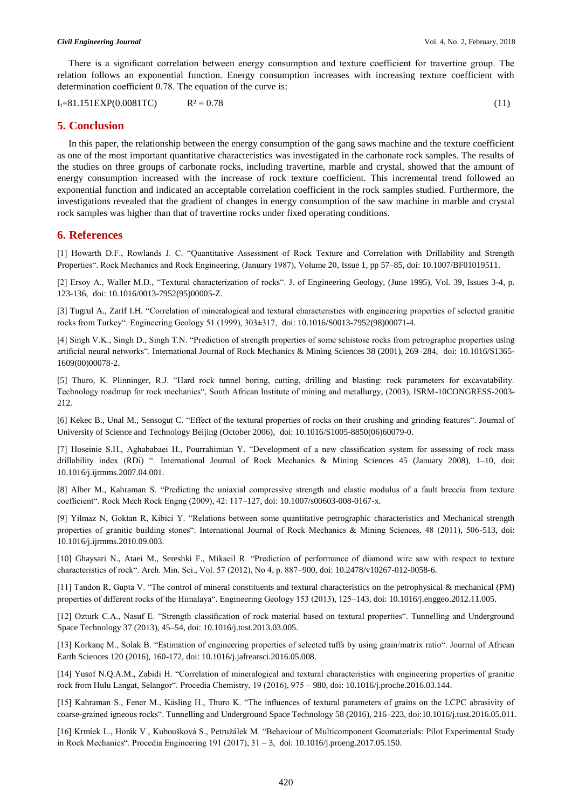There is a significant correlation between energy consumption and texture coefficient for travertine group. The relation follows an exponential function. Energy consumption increases with increasing texture coefficient with determination coefficient 0.78. The equation of the curve is:

$$
I_t = 81.151 \text{EXP}(0.0081 \text{TC}) \qquad R^2 = 0.78 \tag{11}
$$

#### **5. Conclusion**

In this paper, the relationship between the energy consumption of the gang saws machine and the texture coefficient as one of the most important quantitative characteristics was investigated in the carbonate rock samples. The results of the studies on three groups of carbonate rocks, including travertine, marble and crystal, showed that the amount of energy consumption increased with the increase of rock texture coefficient. This incremental trend followed an exponential function and indicated an acceptable correlation coefficient in the rock samples studied. Furthermore, the investigations revealed that the gradient of changes in energy consumption of the saw machine in marble and crystal rock samples was higher than that of travertine rocks under fixed operating conditions.

#### **6. References**

[1] Howarth D.F., Rowlands J. C. "Quantitative Assessment of Rock Texture and Correlation with Drillability and Strength Properties". Rock Mechanics and Rock Engineering, (January 1987), Volume 20, [Issue](https://link.springer.com/journal/603/20/1/page/1) 1, pp 57–85, doi: 10.1007/BF01019511.

[2] Ersoy A., Waller M.D., "Textural characterization of rocks". J. of Engineering Geology, (June 1995), Vol. 39, Issues 3-4, p. 123-136, [doi: 10.1016/0013-7952\(95\)00005-Z.](https://doi.org/10.1016/0013-7952%2895%2900005-Z)

[3] Tugrul A., Zarif I.H. "Correlation of mineralogical and textural characteristics with engineering properties of selected granitic rocks from Turkey". Engineering Geology 51 (1999), 303±317, [doi: 10.1016/S0013-7952\(98\)00071-4.](https://doi.org/10.1016/S0013-7952%2898%2900071-4)

[4] Singh V.K., Singh D., Singh T.N. "Prediction of strength properties of some schistose rocks from petrographic properties using artificial neural networks". International Journal of Rock Mechanics & Mining Sciences 38 (2001), 269–284[, doi: 10.1016/S1365-](https://doi.org/10.1016/S1365-1609%2800%2900078-2) [1609\(00\)00078-2.](https://doi.org/10.1016/S1365-1609%2800%2900078-2)

[5] Thuro, K. Plinninger, R.J. "Hard rock tunnel boring, cutting, drilling and blasting: rock parameters for excavatability. Technology roadmap for rock mechanics", South African Institute of mining and metallurgy, (2003), ISRM-10CONGRESS-2003- 212.

[6] Kekec B., Unal M., Sensogut C. "Effect of the textural properties of rocks on their crushing and grinding features". Journal of University of Science and Technology Beijing (October 2006)[, doi: 10.1016/S1005-8850\(06\)60079-0.](https://doi.org/10.1016/S1005-8850%2806%2960079-0)

[7] Hoseinie S.H., Aghababaei H., Pourrahimian Y. "Development of a new classification system for assessing of rock mass drillability index (RDi) ". International Journal of Rock Mechanics & Mining Sciences 45 (January 2008), 1–10, [doi:](https://doi.org/10.1016/j.ijrmms.2007.04.001)  [10.1016/j.ijrmms.2007.04.001.](https://doi.org/10.1016/j.ijrmms.2007.04.001)

[8] Alber M., Kahraman S. "Predicting the uniaxial compressive strength and elastic modulus of a fault breccia from texture coefficient". Rock Mech Rock Engng (2009), 42: 117–127, doi: 10.1007/s00603-008-0167-x.

[9] Yilmaz N, Goktan R, Kibici Y. "Relations between some quantitative petrographic characteristics and Mechanical strength properties of granitic building stones". International Journal of Rock Mechanics & Mining Sciences, 48 (2011), 506-513, doi: 10.1016/j.ijrmms.2010.09.003.

[10] Ghaysari N., Ataei M., Sereshki F., Mikaeil R. "Prediction of performance of diamond wire saw with respect to texture characteristics of rock". Arch. Min. Sci., Vol. 57 (2012), No 4, p. 887–900, doi: 10.2478/v10267-012-0058-6.

[11] Tandon R, Gupta V. "The control of mineral constituents and textural characteristics on the petrophysical & mechanical (PM) properties of different rocks of the Himalaya". Engineering Geology 153 (2013), 125–143[, doi: 10.1016/j.enggeo.2012.11.005.](https://doi.org/10.1016/j.enggeo.2012.11.005)

[12] Ozturk C.A., Nasuf E. "Strength classification of rock material based on textural properties". Tunnelling and Underground Space Technology 37 (2013), 45–54[, doi: 10.1016/j.tust.2013.03.005.](https://doi.org/10.1016/j.tust.2013.03.005)

[13] Korkanç M., Solak B. "Estimation of engineering properties of selected tuffs by using grain/matrix ratio". Journal of African Earth Sciences 120 (2016), 160-172, [doi: 10.1016/j.jafrearsci.2016.05.008.](https://doi.org/10.1016/j.jafrearsci.2016.05.008)

[14] Yusof N.Q.A.M., Zabidi H. "Correlation of mineralogical and textural characteristics with engineering properties of granitic rock from Hulu Langat, Selangor". Procedia Chemistry, 19 (2016), 975 – 980[, doi: 10.1016/j.proche.2016.03.144.](https://doi.org/10.1016/j.proche.2016.03.144)

[15] Kahraman S., Fener M., Käsling H., Thuro K. "The influences of textural parameters of grains on the LCPC abrasivity of coarse-grained igneous rocks". Tunnelling and Underground Space Technology 58 (2016), 216–223, [doi:10.1016/j.tust.2016.05.011.](https://doi.org/10.1016/j.tust.2016.05.011)

[16] Krmíek L., Horák V., Kuboušková S., Petružálek M. "Behaviour of Multicomponent Geomaterials: Pilot Experimental Study in Rock Mechanics". Procedia Engineering 191 (2017), 31 – 3[, doi: 10.1016/j.proeng.2017.05.150.](https://doi.org/10.1016/j.proeng.2017.05.150)